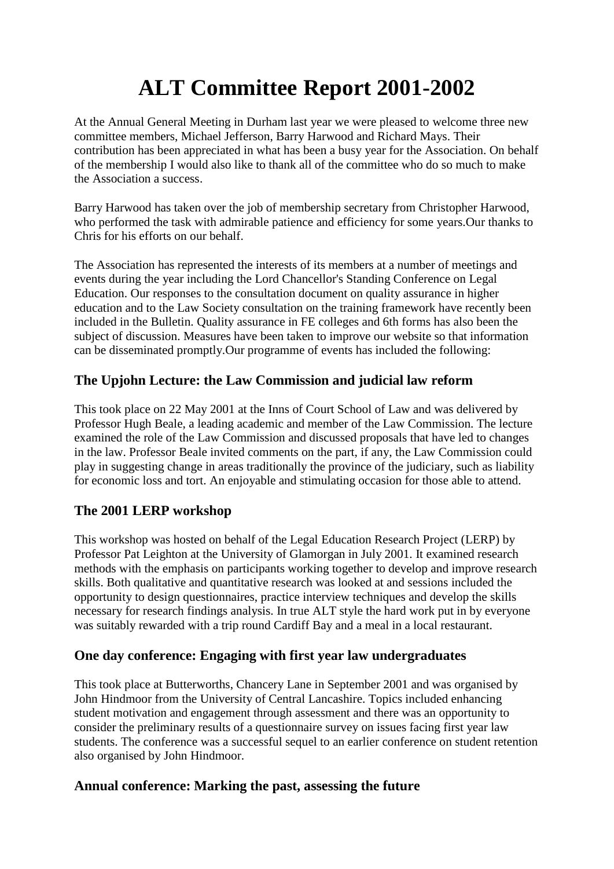# **ALT Committee Report 2001-2002**

At the Annual General Meeting in Durham last year we were pleased to welcome three new committee members, Michael Jefferson, Barry Harwood and Richard Mays. Their contribution has been appreciated in what has been a busy year for the Association. On behalf of the membership I would also like to thank all of the committee who do so much to make the Association a success.

Barry Harwood has taken over the job of membership secretary from Christopher Harwood, who performed the task with admirable patience and efficiency for some years.Our thanks to Chris for his efforts on our behalf.

The Association has represented the interests of its members at a number of meetings and events during the year including the Lord Chancellor's Standing Conference on Legal Education. Our responses to the consultation document on quality assurance in higher education and to the Law Society consultation on the training framework have recently been included in the Bulletin. Quality assurance in FE colleges and 6th forms has also been the subject of discussion. Measures have been taken to improve our website so that information can be disseminated promptly.Our programme of events has included the following:

## **The Upjohn Lecture: the Law Commission and judicial law reform**

This took place on 22 May 2001 at the Inns of Court School of Law and was delivered by Professor Hugh Beale, a leading academic and member of the Law Commission. The lecture examined the role of the Law Commission and discussed proposals that have led to changes in the law. Professor Beale invited comments on the part, if any, the Law Commission could play in suggesting change in areas traditionally the province of the judiciary, such as liability for economic loss and tort. An enjoyable and stimulating occasion for those able to attend.

## **The 2001 LERP workshop**

This workshop was hosted on behalf of the Legal Education Research Project (LERP) by Professor Pat Leighton at the University of Glamorgan in July 2001. It examined research methods with the emphasis on participants working together to develop and improve research skills. Both qualitative and quantitative research was looked at and sessions included the opportunity to design questionnaires, practice interview techniques and develop the skills necessary for research findings analysis. In true ALT style the hard work put in by everyone was suitably rewarded with a trip round Cardiff Bay and a meal in a local restaurant.

## **One day conference: Engaging with first year law undergraduates**

This took place at Butterworths, Chancery Lane in September 2001 and was organised by John Hindmoor from the University of Central Lancashire. Topics included enhancing student motivation and engagement through assessment and there was an opportunity to consider the preliminary results of a questionnaire survey on issues facing first year law students. The conference was a successful sequel to an earlier conference on student retention also organised by John Hindmoor.

### **Annual conference: Marking the past, assessing the future**